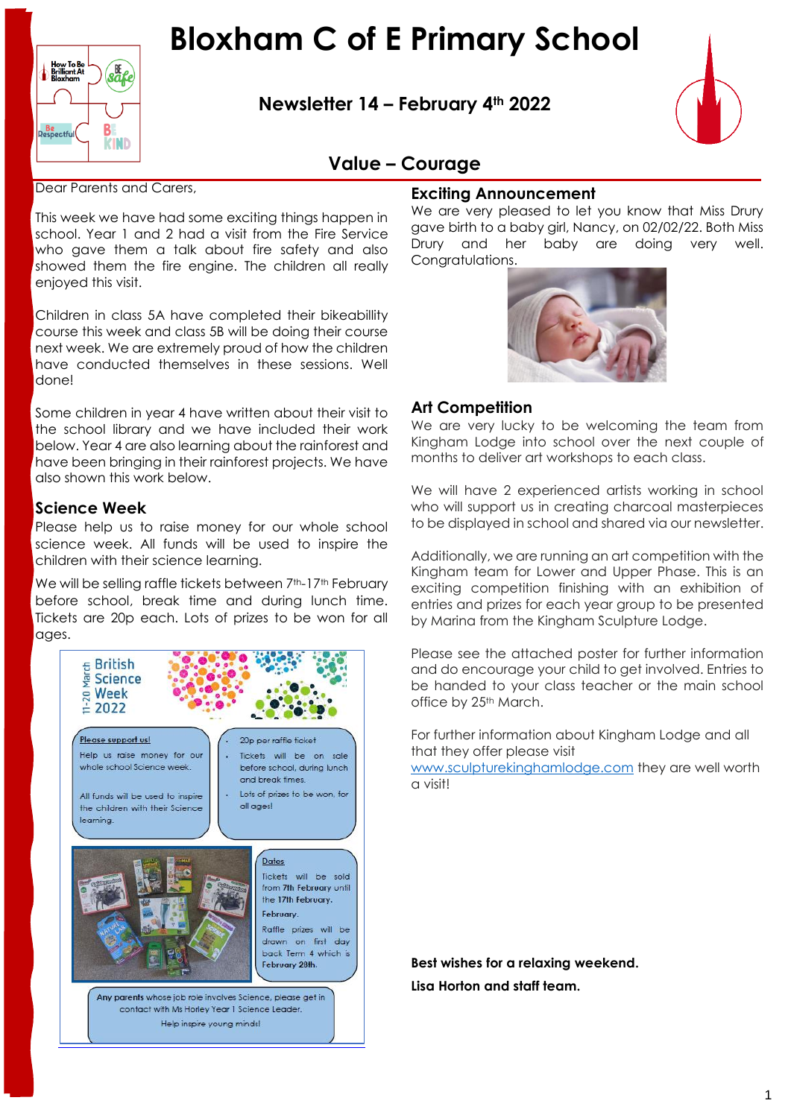

**Newsletter 14 – February 4th 2022**



### **Value – Courage**

Dear Parents and Carers,

This week we have had some exciting things happen in school. Year 1 and 2 had a visit from the Fire Service who gave them a talk about fire safety and also showed them the fire engine. The children all really enjoyed this visit.

Children in class 5A have completed their bikeabillity course this week and class 5B will be doing their course next week. We are extremely proud of how the children have conducted themselves in these sessions. Well done!

Some children in year 4 have written about their visit to the school library and we have included their work below. Year 4 are also learning about the rainforest and have been bringing in their rainforest projects. We have also shown this work below.

#### **Science Week**

Please help us to raise money for our whole school science week. All funds will be used to inspire the children with their science learning.

We will be selling raffle tickets between 7<sup>th</sup>-17<sup>th</sup> February before school, break time and during lunch time. Tickets are 20p each. Lots of prizes to be won for all ages.



#### **Exciting Announcement**

We are very pleased to let you know that Miss Drury gave birth to a baby girl, Nancy, on 02/02/22. Both Miss Drury and her baby are doing very well. Congratulations.



#### **Art Competition**

We are very lucky to be welcoming the team from Kingham Lodge into school over the next couple of months to deliver art workshops to each class.

We will have 2 experienced artists working in school who will support us in creating charcoal masterpieces to be displayed in school and shared via our newsletter.

Additionally, we are running an art competition with the Kingham team for Lower and Upper Phase. This is an exciting competition finishing with an exhibition of entries and prizes for each year group to be presented by Marina from the Kingham Sculpture Lodge.

Please see the attached poster for further information and do encourage your child to get involved. Entries to be handed to your class teacher or the main school office by 25<sup>th</sup> March.

For further information about Kingham Lodge and all that they offer please visit

[www.sculpturekinghamlodge.com](http://www.sculpturekinghamlodge.com/) they are well worth a visit!

**Best wishes for a relaxing weekend. Lisa Horton and staff team.**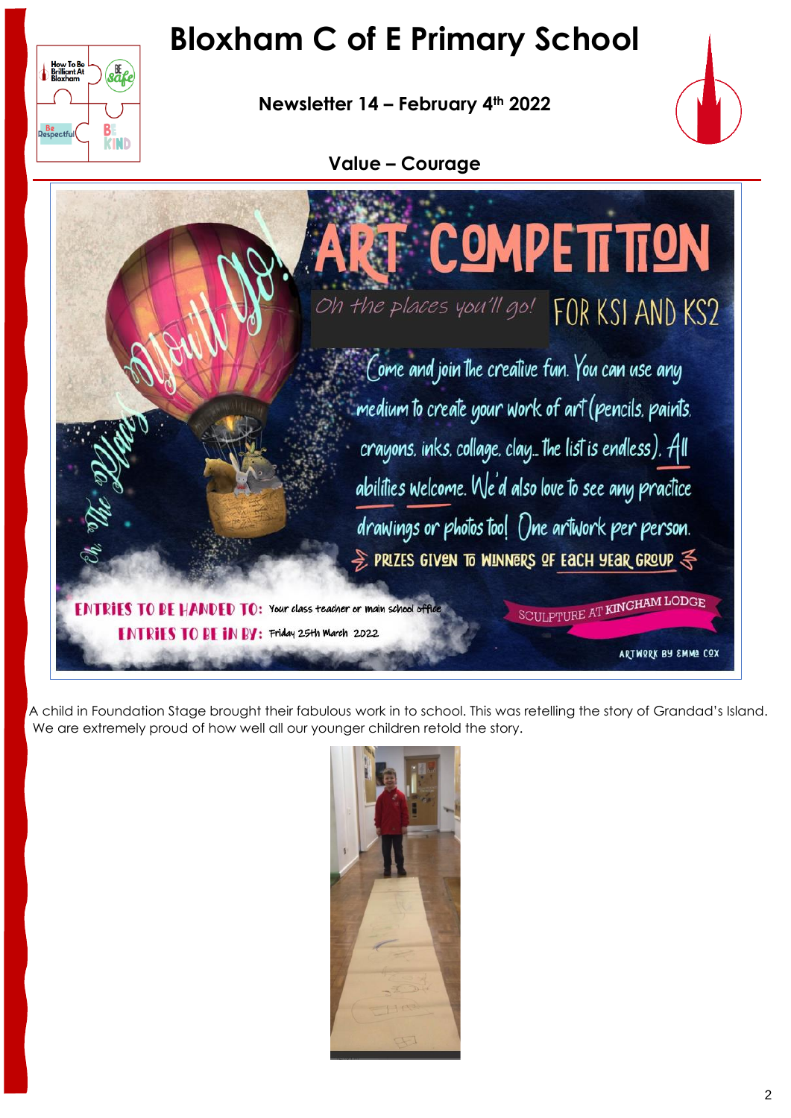**Newsletter 14 – February 4th 2022**

How To Be<br>Brilliant At<br>Bloxham

**Be**<br>Respectful

 $\sqrt{\frac{8}{3}}$ 

B

**KIND** 



**Value – Courage**



A child in Foundation Stage brought their fabulous work in to school. This was retelling the story of Grandad's Island. We are extremely proud of how well all our younger children retold the story.

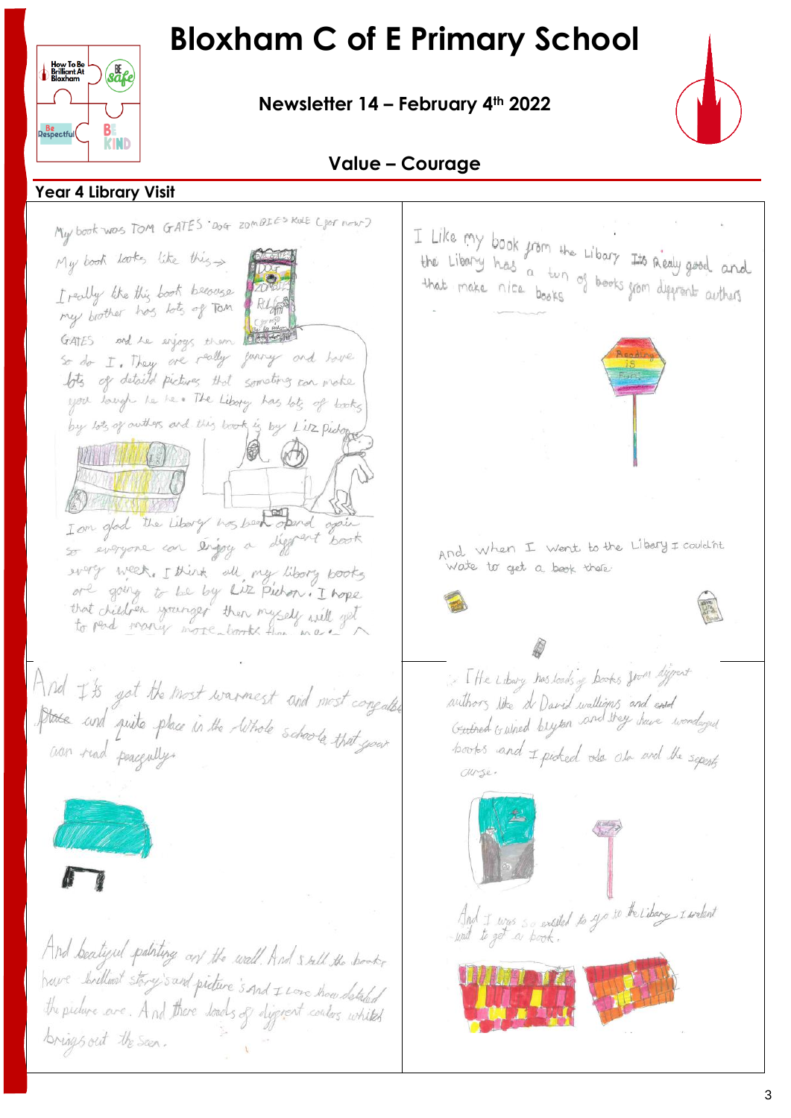**Newsletter 14 – February 4th 2022**



### **Value – Courage**

 **Year 4 Library Visit**

B

**KIND** 

safe

How To Be<br>Brilliant At

**Be**<br>Respectful

My book was TOM GATES Dog zomBIES Kale Cor now? I Like my book from the Libary Its Realy good and the Liberry has a tun of books from deprent artists needy food and My book looks like this I really like this book because my brother has lots of TOM GATES and he enjoys them So do I. They are really juriny and have lots of detaild pictures that someting can make you longh he has The Libory has lots of books by lots of outlers and this book is by Liz Pidope I am glad the Liberty was been opened of so everyone con évigoy a diggrant book And when I went to the Libery I couldn't<br>wate to get a besk there. wery week. I think all my libory books ore going to be by Liz Pichon. I hope that did nanger then myself will get If he Libery has loads of books from differt And I's got the most warmest and most congalled authors like a David wallians and end<br>Guined Guined blyton and they have wonderful State and quite phace in the lithole schools that your cion read peacefully. books and I pioked also are the seperty Curse. And I was so exaited to yo to the Libery I welent And bealized patring on the wall. And sell the books have brilliant story's and picture's and I Love thou detailed the picture are. And there loads of disgress conters whiteh brings out the seen.